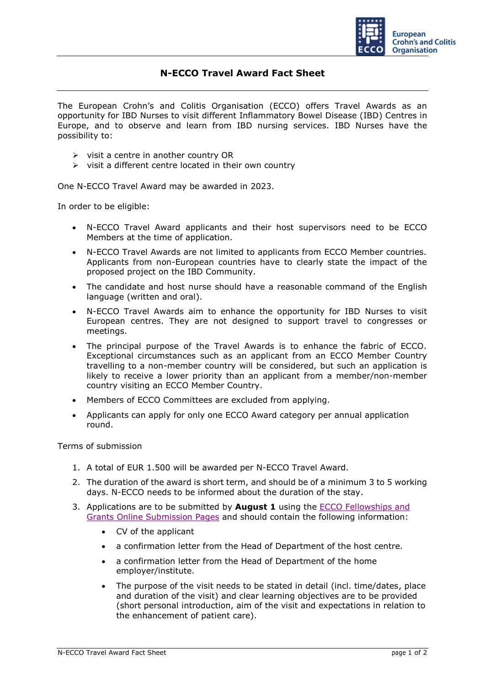

## **N-ECCO Travel Award Fact Sheet**

The European Crohn's and Colitis Organisation (ECCO) offers Travel Awards as an opportunity for IBD Nurses to visit different Inflammatory Bowel Disease (IBD) Centres in Europe, and to observe and learn from IBD nursing services. IBD Nurses have the possibility to:

- ➢ visit a centre in another country OR
- ➢ visit a different centre located in their own country

One N-ECCO Travel Award may be awarded in 2023.

In order to be eligible:

- N-ECCO Travel Award applicants and their host supervisors need to be ECCO Members at the time of application.
- N-ECCO Travel Awards are not limited to applicants from ECCO Member countries. Applicants from non-European countries have to clearly state the impact of the proposed project on the IBD Community.
- The candidate and host nurse should have a reasonable command of the English language (written and oral).
- N-ECCO Travel Awards aim to enhance the opportunity for IBD Nurses to visit European centres. They are not designed to support travel to congresses or meetings.
- The principal purpose of the Travel Awards is to enhance the fabric of ECCO. Exceptional circumstances such as an applicant from an ECCO Member Country travelling to a non-member country will be considered, but such an application is likely to receive a lower priority than an applicant from a member/non-member country visiting an ECCO Member Country.
- Members of ECCO Committees are excluded from applying.
- Applicants can apply for only one ECCO Award category per annual application round.

Terms of submission

- 1. A total of EUR 1.500 will be awarded per N-ECCO Travel Award.
- 2. The duration of the award is short term, and should be of a minimum 3 to 5 working days. N-ECCO needs to be informed about the duration of the stay.
- 3. Applications are to be submitted by **August 1** using the [ECCO Fellowships and](https://cm.ecco-ibd.eu/cmPortal/Proposal/ASSOC22/config/normal/redirectconfig/NECCOTravelAward)  [Grants Online Submission Pages](https://cm.ecco-ibd.eu/cmPortal/Proposal/ASSOC22/config/normal/redirectconfig/NECCOTravelAward) and should contain the following information:
	- CV of the applicant
	- a confirmation letter from the Head of Department of the host centre.
	- a confirmation letter from the Head of Department of the home employer/institute.
	- The purpose of the visit needs to be stated in detail (incl. time/dates, place and duration of the visit) and clear learning objectives are to be provided (short personal introduction, aim of the visit and expectations in relation to the enhancement of patient care).